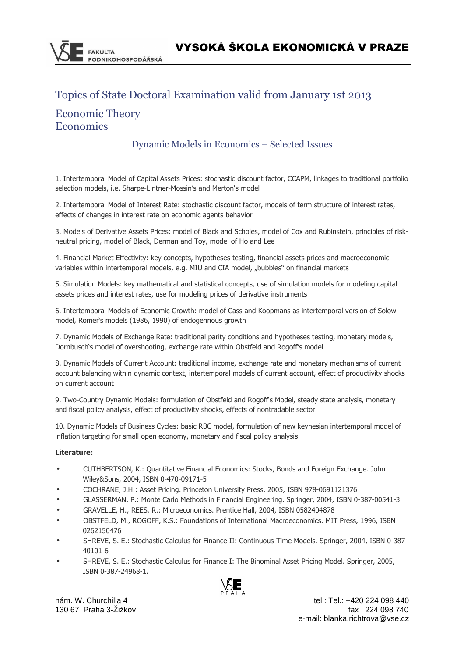# Topics of State Doctoral Examination valid from January 1st 2013

## Economic Theory **Economics**

## Dynamic Models in Economics – Selected Issues

1. Intertemporal Model of Capital Assets Prices: stochastic discount factor, CCAPM, linkages to traditional portfolio selection models, i.e. Sharpe-Lintner-Mossin's and Merton's model

2. Intertemporal Model of Interest Rate: stochastic discount factor, models of term structure of interest rates, effects of changes in interest rate on economic agents behavior

3. Models of Derivative Assets Prices: model of Black and Scholes, model of Cox and Rubinstein, principles of riskneutral pricing, model of Black, Derman and Toy, model of Ho and Lee

4. Financial Market Effectivity: key concepts, hypotheses testing, financial assets prices and macroeconomic variables within intertemporal models, e.g. MIU and CIA model, "bubbles" on financial markets

5. Simulation Models: key mathematical and statistical concepts, use of simulation models for modeling capital assets prices and interest rates, use for modeling prices of derivative instruments

6. Intertemporal Models of Economic Growth: model of Cass and Koopmans as intertemporal version of Solow model, Romer's models (1986, 1990) of endogennous growth

7. Dynamic Models of Exchange Rate: traditional parity conditions and hypotheses testing, monetary models, Dornbusch's model of overshooting, exchange rate within Obstfeld and Rogoff's model

8. Dynamic Models of Current Account: traditional income, exchange rate and monetary mechanisms of current account balancing within dynamic context, intertemporal models of current account, effect of productivity shocks on current account

9. Two-Country Dynamic Models: formulation of Obstfeld and Rogoff's Model, steady state analysis, monetary and fiscal policy analysis, effect of productivity shocks, effects of nontradable sector

10. Dynamic Models of Business Cycles: basic RBC model, formulation of new keynesian intertemporal model of inflation targeting for small open economy, monetary and fiscal policy analysis

#### **Literature:**

- CUTHBERTSON, K.: Quantitative Financial Economics: Stocks, Bonds and Foreign Exchange. John Wiley&Sons, 2004, ISBN 0-470-09171-5
- COCHRANE, J.H.: Asset Pricing. Princeton University Press, 2005, ISBN 978-0691121376
- GLASSERMAN, P.: Monte Carlo Methods in Financial Engineering. Springer, 2004, ISBN 0-387-00541-3
- GRAVELLE, H., REES, R.: Microeconomics. Prentice Hall, 2004, ISBN 0582404878
- OBSTFELD, M., ROGOFF, K.S.: Foundations of International Macroeconomics. MIT Press, 1996, ISBN 0262150476
- SHREVE, S. E.: Stochastic Calculus for Finance II: Continuous-Time Models. Springer, 2004, ISBN 0-387- 40101-6
- SHREVE, S. E.: Stochastic Calculus for Finance I: The Binominal Asset Pricing Model. Springer, 2005, ISBN 0-387-24968-1.

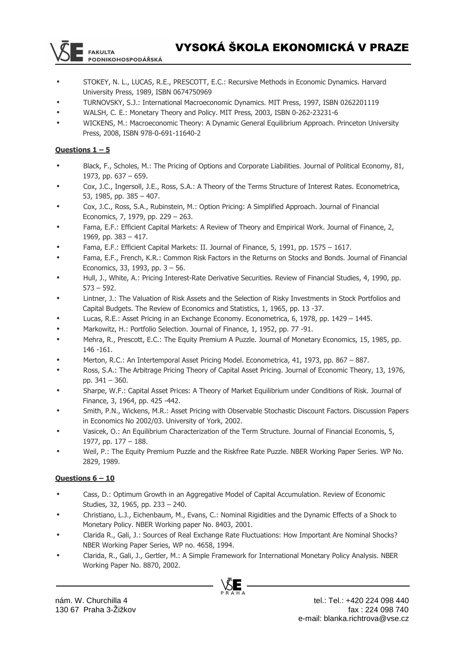

- STOKEY, N. L., LUCAS, R.E., PRESCOTT, E.C.: Recursive Methods in Economic Dynamics. Harvard University Press, 1989, ISBN 0674750969
- TURNOVSKY, S.J.: International Macroeconomic Dynamics. MIT Press, 1997, ISBN 0262201119
- WALSH, C. E.: Monetary Theory and Policy. MIT Press, 2003, ISBN 0-262-23231-6
- WICKENS, M.: Macroeconomic Theory: A Dynamic General Equilibrium Approach. Princeton University Press, 2008, ISBN 978-0-691-11640-2

#### **Questions 1 – 5**

- Black, F., Scholes, M.: The Pricing of Options and Corporate Liabilities. Journal of Political Economy, 81, 1973, pp. 637 – 659.
- Cox, J.C., Ingersoll, J.E., Ross, S.A.: A Theory of the Terms Structure of Interest Rates. Econometrica, 53, 1985, pp. 385 – 407.
- Cox, J.C., Ross, S.A., Rubinstein, M.: Option Pricing: A Simplified Approach. Journal of Financial Economics, 7, 1979, pp. 229 – 263.
- Fama, E.F.: Efficient Capital Markets: A Review of Theory and Empirical Work. Journal of Finance, 2, 1969, pp. 383 – 417.
- Fama, E.F.: Efficient Capital Markets: II. Journal of Finance, 5, 1991, pp. 1575 1617.
- Fama, E.F., French, K.R.: Common Risk Factors in the Returns on Stocks and Bonds. Journal of Financial Economics, 33, 1993, pp. 3 – 56.
- Hull, J., White, A.: Pricing Interest-Rate Derivative Securities. Review of Financial Studies, 4, 1990, pp.  $573 - 592.$
- Lintner, J.: The Valuation of Risk Assets and the Selection of Risky Investments in Stock Portfolios and Capital Budgets. The Review of Economics and Statistics, 1, 1965, pp. 13 -37.
- Lucas, R.E.: Asset Pricing in an Exchange Economy. Econometrica, 6, 1978, pp. 1429 1445.
- Markowitz, H.: Portfolio Selection. Journal of Finance, 1, 1952, pp. 77 -91.
- Mehra, R., Prescott, E.C.: The Equity Premium A Puzzle. Journal of Monetary Economics, 15, 1985, pp. 146 -161.
- Merton, R.C.: An Intertemporal Asset Pricing Model. Econometrica, 41, 1973, pp. 867 887.
- Ross, S.A.: The Arbitrage Pricing Theory of Capital Asset Pricing. Journal of Economic Theory, 13, 1976, pp. 341 – 360.
- Sharpe, W.F.: Capital Asset Prices: A Theory of Market Equilibrium under Conditions of Risk. Journal of Finance, 3, 1964, pp. 425 -442.
- Smith, P.N., Wickens, M.R.: Asset Pricing with Observable Stochastic Discount Factors. Discussion Papers in Economics No 2002/03. University of York, 2002.
- Vasicek, O.: An Equilibrium Characterization of the Term Structure. Journal of Financial Economis, 5, 1977, pp. 177 – 188.
- Weil, P.: The Equity Premium Puzzle and the Riskfree Rate Puzzle. NBER Working Paper Series. WP No. 2829, 1989.

#### **Questions 6 – 10**

- Cass, D.: Optimum Growth in an Aggregative Model of Capital Accumulation. Review of Economic Studies, 32, 1965, pp. 233 – 240.
- Christiano, L.J., Eichenbaum, M., Evans, C.: Nominal Rigidities and the Dynamic Effects of a Shock to Monetary Policy. NBER Working paper No. 8403, 2001.
- Clarida R., Gali, J.: Sources of Real Exchange Rate Fluctuations: How Important Are Nominal Shocks? NBER Working Paper Series, WP no. 4658, 1994.
- Clarida, R., Gali, J., Gertler, M.: A Simple Framework for International Monetary Policy Analysis. NBER Working Paper No. 8870, 2002.

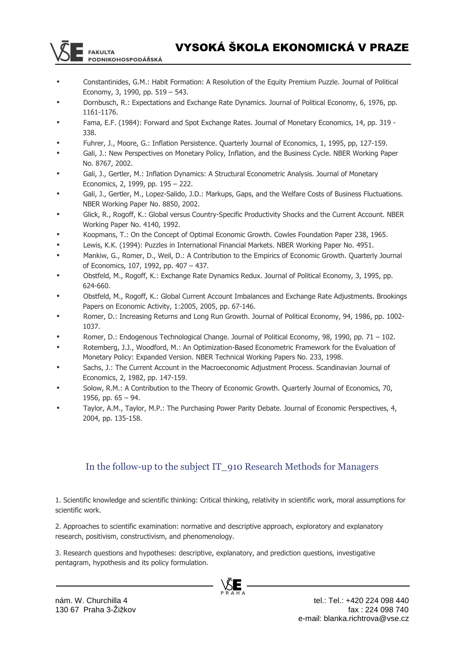

- Constantinides, G.M.: Habit Formation: A Resolution of the Equity Premium Puzzle. Journal of Political Economy, 3, 1990, pp. 519 – 543.
- Dornbusch, R.: Expectations and Exchange Rate Dynamics. Journal of Political Economy, 6, 1976, pp. 1161-1176.
- Fama, E.F. (1984): Forward and Spot Exchange Rates. Journal of Monetary Economics, 14, pp. 319 338.
- Fuhrer, J., Moore, G.: Inflation Persistence. Quarterly Journal of Economics, 1, 1995, pp, 127-159.
- Gali, J.: New Perspectives on Monetary Policy, Inflation, and the Business Cycle. NBER Working Paper No. 8767, 2002.
- Gali, J., Gertler, M.: Inflation Dynamics: A Structural Econometric Analysis. Journal of Monetary Economics, 2, 1999, pp. 195 – 222.
- Gali, J., Gertler, M., Lopez-Salido, J.D.: Markups, Gaps, and the Welfare Costs of Business Fluctuations. NBER Working Paper No. 8850, 2002.
- Glick, R., Rogoff, K.: Global versus Country-Specific Productivity Shocks and the Current Account. NBER Working Paper No. 4140, 1992.
- Koopmans, T.: On the Concept of Optimal Economic Growth. Cowles Foundation Paper 238, 1965.
- Lewis, K.K. (1994): Puzzles in International Financial Markets. NBER Working Paper No. 4951.
- Mankiw, G., Romer, D., Weil, D.: A Contribution to the Empirics of Economic Growth. Quarterly Journal of Economics, 107, 1992, pp. 407 – 437.
- Obstfeld, M., Rogoff, K.: Exchange Rate Dynamics Redux. Journal of Political Economy, 3, 1995, pp. 624-660.
- Obstfeld, M., Rogoff, K.: Global Current Account Imbalances and Exchange Rate Adjustments. Brookings Papers on Economic Activity, 1:2005, 2005, pp. 67-146.
- Romer, D.: Increasing Returns and Long Run Growth. Journal of Political Economy, 94, 1986, pp. 1002- 1037.
- Romer, D.: Endogenous Technological Change. Journal of Political Economy, 98, 1990, pp. 71 102.
- Rotemberg, J.J., Woodford, M.: An Optimization-Based Econometric Framework for the Evaluation of Monetary Policy: Expanded Version. NBER Technical Working Papers No. 233, 1998.
- Sachs, J.: The Current Account in the Macroeconomic Adjustment Process. Scandinavian Journal of Economics, 2, 1982, pp. 147-159.
- Solow, R.M.: A Contribution to the Theory of Economic Growth. Quarterly Journal of Economics, 70, 1956, pp. 65 – 94.
- Taylor, A.M., Taylor, M.P.: The Purchasing Power Parity Debate. Journal of Economic Perspectives, 4, 2004, pp. 135-158.

## In the follow-up to the subject IT\_910 Research Methods for Managers

1. Scientific knowledge and scientific thinking: Critical thinking, relativity in scientific work, moral assumptions for scientific work.

2. Approaches to scientific examination: normative and descriptive approach, exploratory and explanatory research, positivism, constructivism, and phenomenology.

3. Research questions and hypotheses: descriptive, explanatory, and prediction questions, investigative pentagram, hypothesis and its policy formulation.



**FAKULTA** 

**PODNIKOHOSPODÁŘSKÁ**